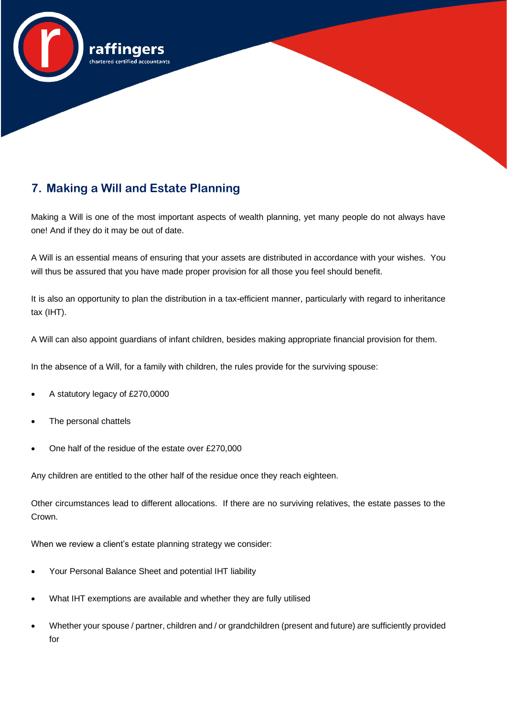## **7. Making a Will and Estate Planning**

hartered certified accountants

Making a Will is one of the most important aspects of wealth planning, yet many people do not always have one! And if they do it may be out of date.

A Will is an essential means of ensuring that your assets are distributed in accordance with your wishes. You will thus be assured that you have made proper provision for all those you feel should benefit.

It is also an opportunity to plan the distribution in a tax-efficient manner, particularly with regard to inheritance tax (IHT).

A Will can also appoint guardians of infant children, besides making appropriate financial provision for them.

In the absence of a Will, for a family with children, the rules provide for the surviving spouse:

- A statutory legacy of £270,0000
- The personal chattels
- One half of the residue of the estate over £270,000

Any children are entitled to the other half of the residue once they reach eighteen.

Other circumstances lead to different allocations. If there are no surviving relatives, the estate passes to the Crown.

When we review a client's estate planning strategy we consider:

- Your Personal Balance Sheet and potential IHT liability
- What IHT exemptions are available and whether they are fully utilised
- Whether your spouse / partner, children and / or grandchildren (present and future) are sufficiently provided for